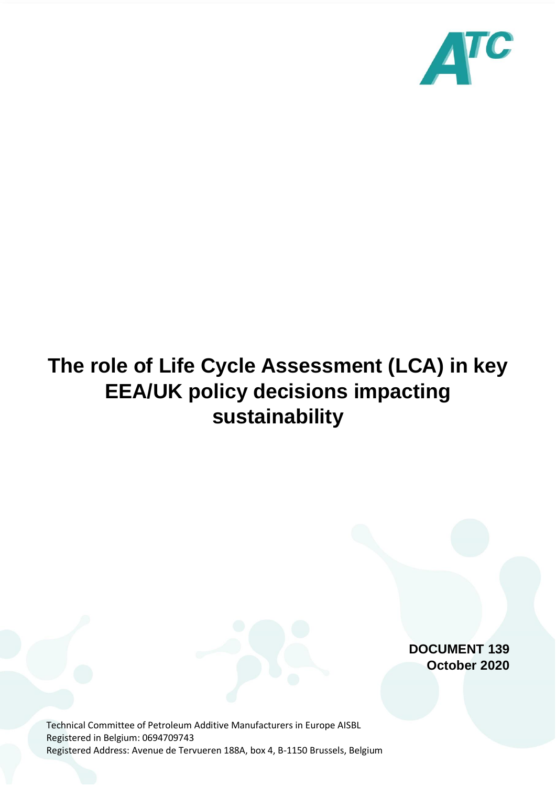

# **The role of Life Cycle Assessment (LCA) in key EEA/UK policy decisions impacting sustainability**

**DOCUMENT 139 October 2020**

Technical Committee of Petroleum Additive Manufacturers in Europe AISBL Registered in Belgium: 0694709743 Registered Address: Avenue de Tervueren 188A, box 4, B-1150 Brussels, Belgium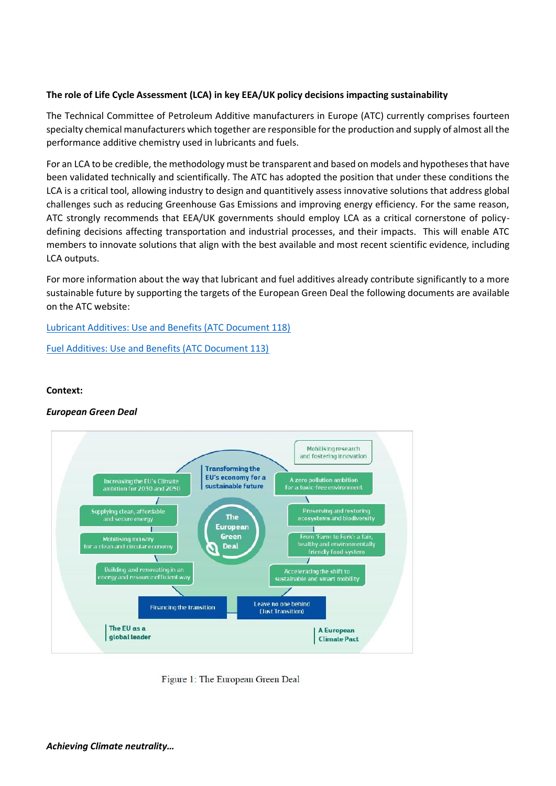## **The role of Life Cycle Assessment (LCA) in key EEA/UK policy decisions impacting sustainability**

The Technical Committee of Petroleum Additive manufacturers in Europe (ATC) currently comprises fourteen specialty chemical manufacturers which together are responsible for the production and supply of almost all the performance additive chemistry used in lubricants and fuels.

For an LCA to be credible, the methodology must be transparent and based on models and hypotheses that have been validated technically and scientifically. The ATC has adopted the position that under these conditions the LCA is a critical tool, allowing industry to design and quantitively assess innovative solutions that address global challenges such as reducing Greenhouse Gas Emissions and improving energy efficiency. For the same reason, ATC strongly recommends that EEA/UK governments should employ LCA as a critical cornerstone of policydefining decisions affecting transportation and industrial processes, and their impacts. This will enable ATC members to innovate solutions that align with the best available and most recent scientific evidence, including LCA outputs.

For more information about the way that lubricant and fuel additives already contribute significantly to a more sustainable future by supporting the targets of the European Green Deal the following documents are available on the ATC website:

[Lubricant Additives: Use and Benefits \(ATC Document 118\)](https://secure-web.cisco.com/1EzlRdvUGt1SMAQCtHpMPsvaVJkXebuIjO55vETj9z1hMw0USQOWlCY-fQqsZku8mLG4dw1U6oS-m_Z65tqPFZVOjuYs1PUBMZrbZ8R0MwjtpspocPK9MJ84f5apQrZZy6w-2PwFCPTBrRwRydPIYhxE1JQp-9XOKHMh_CgT3tTMCtzaafFh26FZ6HaeaO47neQULlw8_TjUTEdf3Ak4ETFsNuWg3cWakl-By5GBN7MD0yC0O2SUXwXmFHXogwa42tGlZn88psTeUawlF6M-QtlyVzjbbS8BQwCa8du9yQtnASJZ9-YEox_7LmY4VfjWa1BbnpVvt5u0OiEbWjH9vNduQHRnlhpbtSzGxdlWHYRhClQoVgL_v45CWVz7Gcohb004DZboiooZXBpjkddSnyM5NgRDvZmwdki61g5VIRlnhvnWkVUnOtxLG3TLzwUxQ/https%3A%2F%2Fwww.atc-europe.org%2Fpublic%2FDocument%2520118%2520-%2520Lubricant%2520Additives%2520Use%2520and%2520Benefits.pdf)

[Fuel Additives: Use and Benefits \(ATC Document 113\)](https://secure-web.cisco.com/1VTrwPJ6UdjlCUfmViy9hUEQIzEik3Ky0zshMS6mLOt3Tkg_OnZEksfCLtF41W318vELfoG6_7bTiHqxWxI5snog_eRbk0I7SZHMPvA9oBluvx60lsyDwqaeg8niQP6DHnwROWm74U--ar1nx0lo6OtOmYhAzZ9IShktBWIx5IBh2IHFgu0CJnD3X-WBth-GjW_R73pICl8AqBaw-FAS491IbapsbOHIRFz6czdiw7SopNtby8e7yL12y56FTapOLZirFY74p-f1dmjNz5VGs8QfcRo8jKeezPJH16-bRgHVMovpokK4tybdo0ZY3xvjAaRKALOhpcFvbgy5PgmcVawnn6xwJJQkCKP2MpjYb095hYaiiayJI-88Vhi2oF9RNHHXKqTUHUxjA97jPzpfzWORq8WJV4Sv6xfuc-9yxDJPDOEx__YNHXrKb0A5FpVIn/https%3A%2F%2Fwww.atc-europe.org%2Fpublic%2FDoc113%25202013-11-20.pdf)

## **Context:**

## *European Green Deal*



Figure 1: The European Green Deal